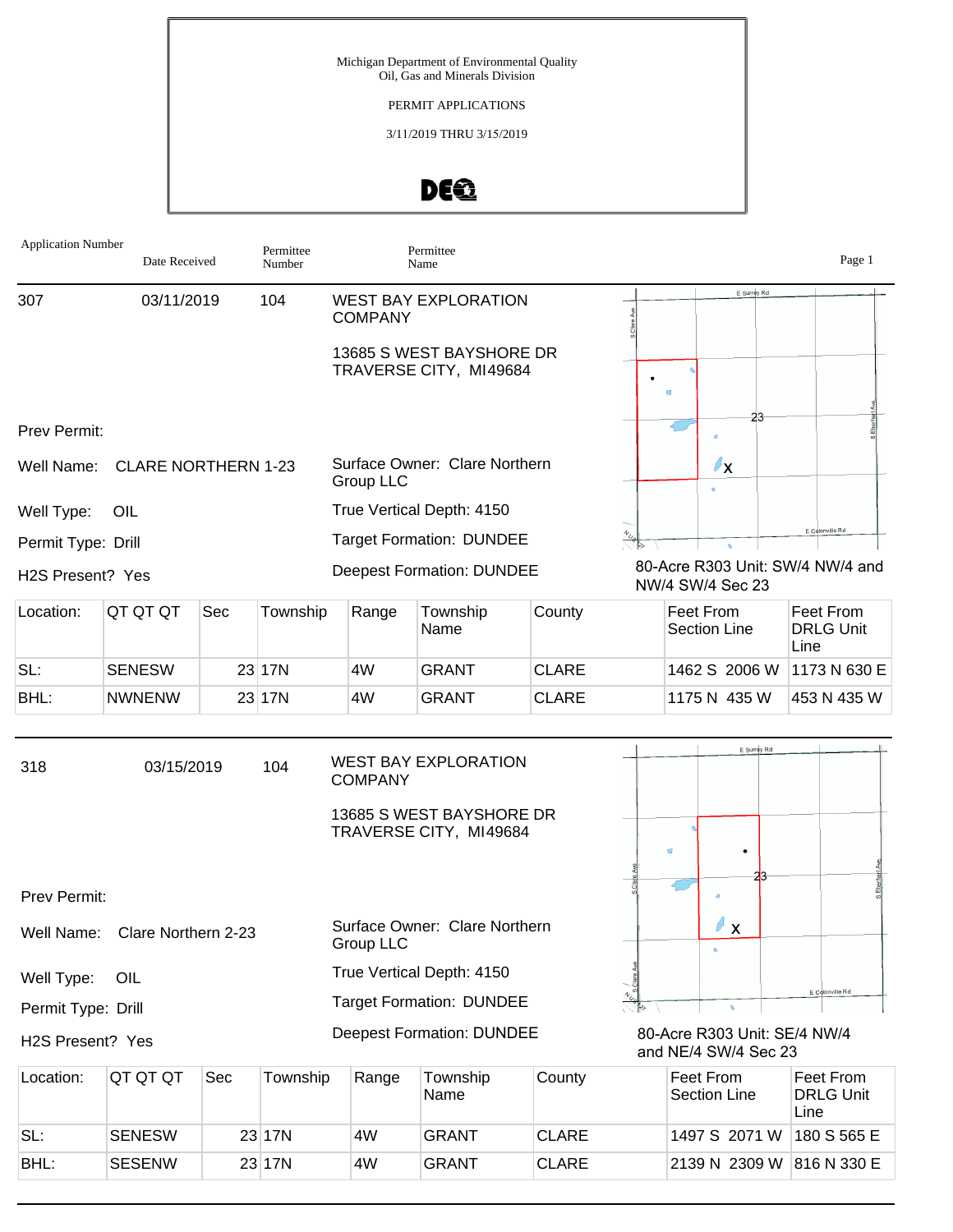## PERMIT APPLICATIONS

3/11/2019 THRU 3/15/2019



| <b>Application Number</b> | Date Received              |     | Permittee<br>Number |                                            | Permittee<br>Name                                                                 |              |                                  | Page 1                                       |
|---------------------------|----------------------------|-----|---------------------|--------------------------------------------|-----------------------------------------------------------------------------------|--------------|----------------------------------|----------------------------------------------|
| 307                       | 03/11/2019                 |     | 104                 | <b>COMPANY</b>                             | <b>WEST BAY EXPLORATION</b>                                                       |              | E Surrey Rd                      |                                              |
|                           |                            |     |                     |                                            | 13685 S WEST BAYSHORE DR<br>TRAVERSE CITY, MI49684                                |              | $\blacksquare$                   |                                              |
| Prev Permit:              |                            |     |                     |                                            |                                                                                   |              | 23                               |                                              |
| Well Name:                | <b>CLARE NORTHERN 1-23</b> |     |                     | <b>Group LLC</b>                           | Surface Owner: Clare Northern                                                     |              | $\ell_{\mathsf{X}}$              |                                              |
| Well Type:                | OIL                        |     |                     |                                            | True Vertical Depth: 4150                                                         |              |                                  |                                              |
| Permit Type: Drill        |                            |     |                     |                                            | <b>Target Formation: DUNDEE</b>                                                   |              |                                  | E Colonville Rd                              |
| H2S Present? Yes          |                            |     |                     |                                            | <b>Deepest Formation: DUNDEE</b>                                                  |              | NW/4 SW/4 Sec 23                 | 80-Acre R303 Unit: SW/4 NW/4 and             |
| Location:                 | QT QT QT                   | Sec | Township            | Range                                      | Township<br>Name                                                                  | County       | Feet From<br><b>Section Line</b> | <b>Feet From</b><br><b>DRLG Unit</b><br>Line |
| SL:                       | <b>SENESW</b>              |     | 23 17N              | 4W                                         | <b>GRANT</b>                                                                      | <b>CLARE</b> | 1462 S 2006 W                    | 1173 N 630 E                                 |
| BHL:                      | <b>NWNENW</b>              |     | 23 17N              | 4W                                         | <b>GRANT</b>                                                                      | <b>CLARE</b> | 1175 N 435 W                     | 453 N 435 W                                  |
| 318                       | 03/15/2019                 |     | 104                 | <b>COMPANY</b>                             | <b>WEST BAY EXPLORATION</b><br>13685 S WEST BAYSHORE DR<br>TRAVERSE CITY, MI49684 |              | E Surrey Rd<br>a.<br>٠           |                                              |
| Prev Permit:              |                            |     |                     |                                            |                                                                                   |              |                                  |                                              |
| Well Name:                | Clare Northern 2-23        |     |                     | Surface Owner: Clare Northern<br>Group LLC |                                                                                   |              | o<br>$\boldsymbol{\mathsf{X}}$   |                                              |
| Well Type:                | OIL                        |     |                     |                                            | True Vertical Depth: 4150                                                         |              |                                  |                                              |
|                           |                            |     |                     |                                            |                                                                                   |              |                                  | E Colonville Rd                              |

Permit Type: Drill

H2S Present? Yes

80-Acre R303 Unit: SE/4 NW/4 and NE/4 SW/4 Sec 23

 $\sim$ 

 $\bullet$ 

 $\frac{1}{\sqrt{\frac{2}{3}}}$ 

| Location: | IQT QT QT     | Sec | Township | Range | Township<br>'Name | County       | Feet From<br>Section Line | Feet From<br><b>DRLG Unit</b><br>Line |
|-----------|---------------|-----|----------|-------|-------------------|--------------|---------------------------|---------------------------------------|
| SL:       | <b>SENESW</b> |     | 23 17N   | 4W    | <b>GRANT</b>      | <b>CLARE</b> | 1497 S 2071 W             | 180 S 565 E                           |
| BHL:      | <b>SESENW</b> |     | 23 17N   | 4W    | GRANT             | <b>CLARE</b> | 2139 N 2309 W 816 N 330 E |                                       |

Target Formation: DUNDEE

Deepest Formation: DUNDEE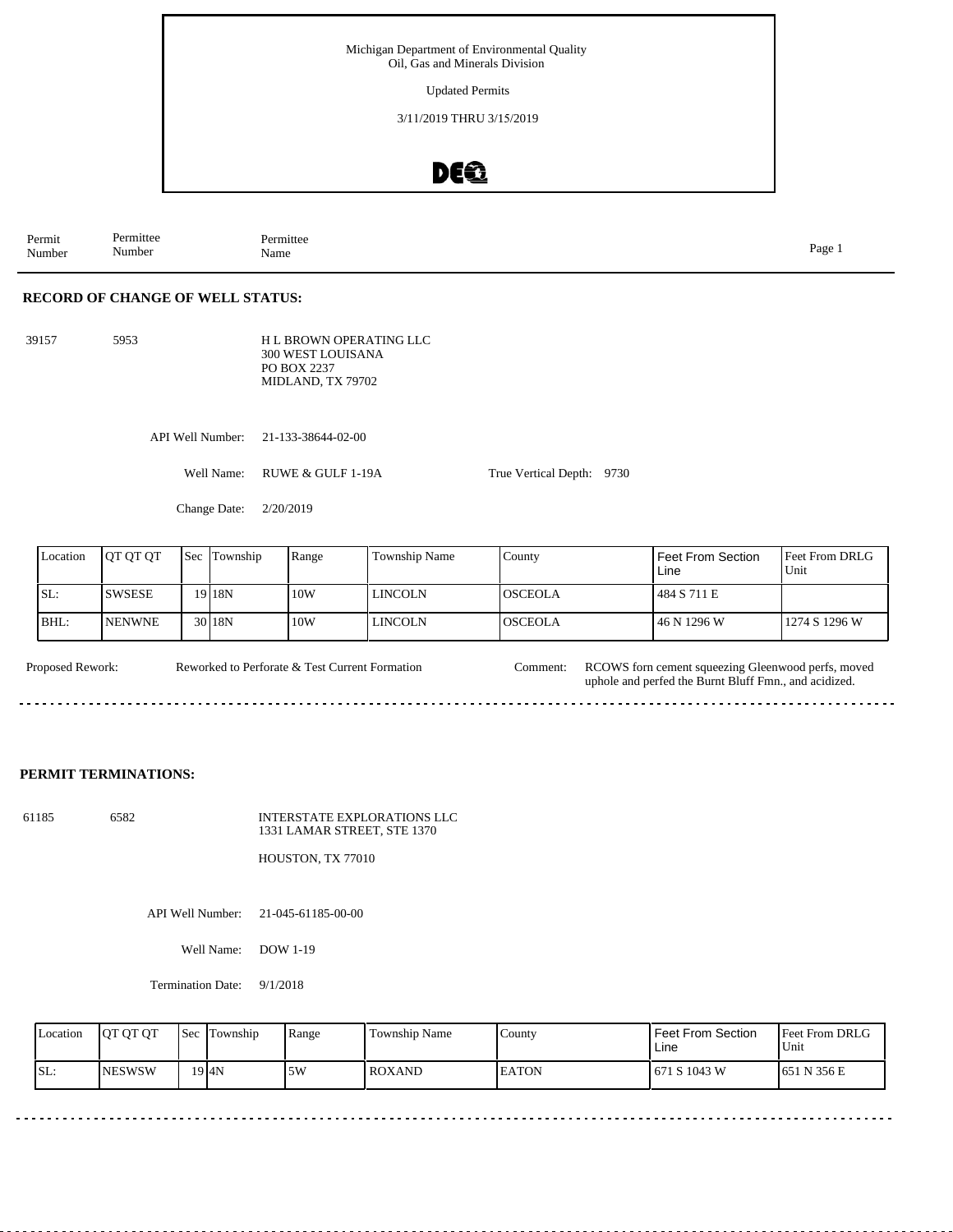Updated Permits

3/11/2019 THRU 3/15/2019

# DEQ

Permit Number Permittee Number Permittee<br>Name Name Page 1

## **RECORD OF CHANGE OF WELL STATUS:**

39157 5953

H L BROWN OPERATING LLC 300 WEST LOUISANA PO BOX 2237 MIDLAND, TX 79702

API Well Number: 21-133-38644-02-00

Well Name: RUWE & GULF 1-19A

Change Date: 2/20/2019

| Location | <b>JOT OT OT</b> | <b>Sec</b> Township | Range | <b>Township Name</b> | County         | Feet From Section<br>Line | <b>IFeet From DRLG</b><br>Unit |
|----------|------------------|---------------------|-------|----------------------|----------------|---------------------------|--------------------------------|
| ISL:     | <b>SWSESE</b>    | 19 I 18 N           | 10W   | <b>LINCOLN</b>       | IOSCEOLA       | 484 S 711 E               |                                |
| IBHL:    | <b>INENWNE</b>   | 30 <sub>18N</sub>   | 10W   | LINCOLN              | <b>OSCEOLA</b> | 46 N 1296 W               | 1274 S 1296 W                  |

True Vertical Depth: 9730

Proposed Rework: Reworked to Perforate & Test Current Formation Comment: RCOWS forn cement squeezing Gleenwood perfs, moved Reworked to Perforate & Test Current Formation Comment: uphole and perfed the Burnt Bluff Fmn., and acidized. 

#### **PERMIT TERMINATIONS:**

61185 6582 INTERSTATE EXPLORATIONS LLC 1331 LAMAR STREET, STE 1370

HOUSTON, TX 77010

API Well Number: 21-045-61185-00-00

Well Name: DOW 1-19

Termination Date: 9/1/2018

| Location | <b>IOT OT OT</b> | <b>Sec</b> | Township           | Range | <b>Township Name</b> | County       | Feet From Section<br>Line | <b>Feet From DRLG</b><br>Unit |
|----------|------------------|------------|--------------------|-------|----------------------|--------------|---------------------------|-------------------------------|
| SL:      | <b>INESWSW</b>   |            | $19$ <sub>4N</sub> | 5W    | <b>ROXAND</b>        | <b>EATON</b> | 671 S 1043 W              | 1651 N 356 E                  |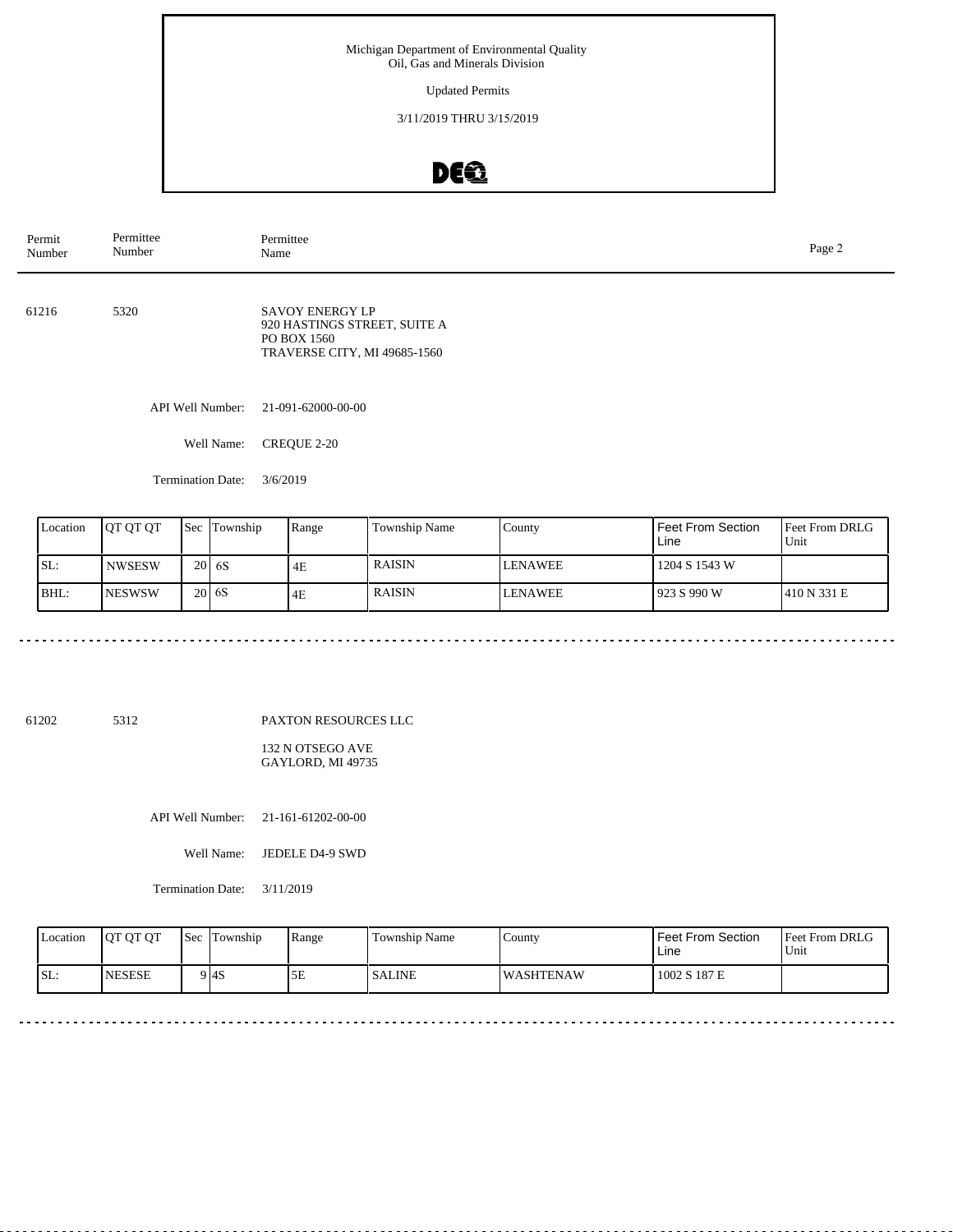Updated Permits

3/11/2019 THRU 3/15/2019

# DE®

| Permit<br>Number | Permittee<br>Number | Permittee<br>Name                                                                                     |  |  |  |
|------------------|---------------------|-------------------------------------------------------------------------------------------------------|--|--|--|
| 61216            | 5320                | <b>SAVOY ENERGY LP</b><br>920 HASTINGS STREET, SUITE A<br>PO BOX 1560<br>TRAVERSE CITY, MI 49685-1560 |  |  |  |
|                  | API Well Number:    | 21-091-62000-00-00                                                                                    |  |  |  |
|                  | Well Name:          | CREQUE 2-20                                                                                           |  |  |  |
|                  |                     |                                                                                                       |  |  |  |

Termination Date: 3/6/2019

| Location | JOT OT OT      | <b>Sec</b> | Township | Range | Township Name | County         | Feet From Section<br>Line | <b>Feet From DRLG</b><br>Unit |
|----------|----------------|------------|----------|-------|---------------|----------------|---------------------------|-------------------------------|
| ISL:     | <b>NWSESW</b>  |            | 20 6 6 S | 4E    | <b>RAISIN</b> | <b>LENAWEE</b> | 1204 S 1543 W             |                               |
| BHL:     | <b>INESWSW</b> |            | 20 6 6 S | 4E    | <b>RAISIN</b> | <b>LENAWEE</b> | 1923 S 990 W              | 1410 N 331 E                  |

61202 5312

PAXTON RESOURCES LLC

132 N OTSEGO AVE GAYLORD, MI 49735

API Well Number: 21-161-61202-00-00

Well Name: JEDELE D4-9 SWD

Termination Date: 3/11/2019

| Location | <b>IOT OT OT</b> | Sec | Township | Range | Township Name | County            | l Feet From Section<br>∟ine | <b>Feet From DRLG</b><br>Unit |
|----------|------------------|-----|----------|-------|---------------|-------------------|-----------------------------|-------------------------------|
| SL:      | <b>INESESE</b>   |     | 9 I 4 S  | ЭE    | <b>SALINE</b> | <b>IWASHTENAW</b> | 1002 S 187 E                |                               |

 $\sim$   $\sim$   $\sim$   $\sim$ 

 $\frac{1}{2} \left( \frac{1}{2} \right) \left( \frac{1}{2} \right) \left( \frac{1}{2} \right) \left( \frac{1}{2} \right) \left( \frac{1}{2} \right)$ 

 $\sim$   $\sim$   $\sim$   $\sim$